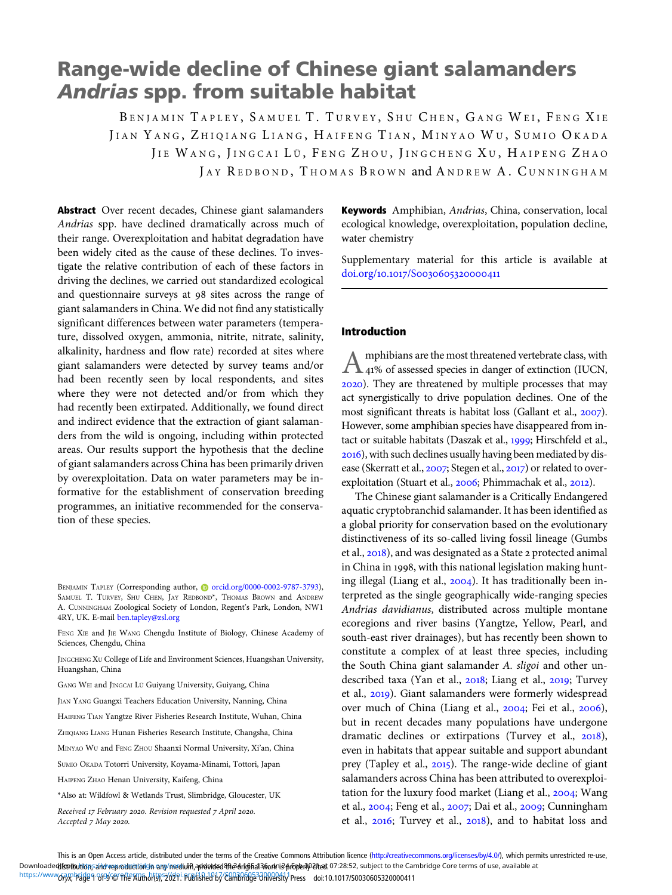# Range-wide decline of Chinese giant salamanders Andrias spp. from suitable habitat

BENJAMIN TAPLEY, SAMUEL T. TURVEY, SHU CHEN, GANG WEI, FENG XIE JIAN YANG, ZHIQIANG LIANG, HAIFENG TIAN, MINYAO WU, SUMIO OKADA JIE WANG, JINGCAI LÜ, FENG ZHOU, JINGCHENG XU, HAIPENG ZHAO JAY REDBOND, THOMAS BROWN and ANDREW A. CUNNINGHAM

Abstract Over recent decades, Chinese giant salamanders Andrias spp. have declined dramatically across much of their range. Overexploitation and habitat degradation have been widely cited as the cause of these declines. To investigate the relative contribution of each of these factors in driving the declines, we carried out standardized ecological and questionnaire surveys at 98 sites across the range of giant salamanders in China. We did not find any statistically significant differences between water parameters (temperature, dissolved oxygen, ammonia, nitrite, nitrate, salinity, alkalinity, hardness and flow rate) recorded at sites where giant salamanders were detected by survey teams and/or had been recently seen by local respondents, and sites where they were not detected and/or from which they had recently been extirpated. Additionally, we found direct and indirect evidence that the extraction of giant salamanders from the wild is ongoing, including within protected areas. Our results support the hypothesis that the decline of giant salamanders across China has been primarily driven by overexploitation. Data on water parameters may be informative for the establishment of conservation breeding programmes, an initiative recommended for the conservation of these species.

FENG XIE and JIE WANG Chengdu Institute of Biology, Chinese Academy of Sciences, Chengdu, China

JINGCHENG XU College of Life and Environment Sciences, Huangshan University, Huangshan, China

GANG WEI and JINGCAI LÜ Guiyang University, Guiyang, China

JIAN YANG Guangxi Teachers Education University, Nanning, China

HAIFENG TIAN Yangtze River Fisheries Research Institute, Wuhan, China

ZHIQIANG LIANG Hunan Fisheries Research Institute, Changsha, China

MINYAO WU and FENG ZHOU Shaanxi Normal University, Xi'an, China

SUMIO OKADA Totorri University, Koyama-Minami, Tottori, Japan

HAIPENG ZHAO Henan University, Kaifeng, China

Received 17 February 2020. Revision requested 7 April 2020. Accepted 7 May 2020.

Keywords Amphibian, Andrias, China, conservation, local ecological knowledge, overexploitation, population decline, water chemistry

Supplementary material for this article is available at doi.org/10.1017/S0030605320000411

### Introduction

Amphibians are the most threatened vertebrate class, with<br>
41% of assessed species in danger of extinction (IUCN, ). They are threatened by multiple processes that may act synergistically to drive population declines. One of the most significant threats is habitat loss (Gallant et al., 2007). However, some amphibian species have disappeared from intact or suitable habitats (Daszak et al., 1999; Hirschfeld et al., ), with such declines usually having been mediated by disease (Skerratt et al., 2007; Stegen et al., 2017) or related to overexploitation (Stuart et al., 2006; Phimmachak et al., 2012).

The Chinese giant salamander is a Critically Endangered aquatic cryptobranchid salamander. It has been identified as a global priority for conservation based on the evolutionary distinctiveness of its so-called living fossil lineage (Gumbs et al., 2018), and was designated as a State 2 protected animal in China in 1998, with this national legislation making hunting illegal (Liang et al.,  $2004$ ). It has traditionally been interpreted as the single geographically wide-ranging species Andrias davidianus, distributed across multiple montane ecoregions and river basins (Yangtze, Yellow, Pearl, and south-east river drainages), but has recently been shown to constitute a complex of at least three species, including the South China giant salamander A. sligoi and other undescribed taxa (Yan et al., 2018; Liang et al., 2019; Turvey et al., 2019). Giant salamanders were formerly widespread over much of China (Liang et al., 2004; Fei et al., 2006), but in recent decades many populations have undergone dramatic declines or extirpations (Turvey et al.,  $2018$ ), even in habitats that appear suitable and support abundant prey (Tapley et al., 2015). The range-wide decline of giant salamanders across China has been attributed to overexploitation for the luxury food market (Liang et al., 2004; Wang et al., 2004; Feng et al., 2007; Dai et al., 2009; Cunningham et al.,  $2016$ ; Turvey et al.,  $2018$ ), and to habitat loss and

This is an Open Access article, distributed under the terms of the Creative Commons Attribution licence (<http://creativecommons.org/licenses/by/4.0/>), which permits unrestricted re-use, Downloaded**hstributio**nsand veproductiongn any/mediu**hi,addvtsedરhe3nkghal3fork**ne3ტrcpeal02fted.07:28:52, subject to the Cambridge Core terms of use, available at https://www.6AR\Pade 9 8F9 @ ffe Author(5), 2021. Published by Cambridge BRR00411 Press doi:10.1017/S0030605320000411

BENJAMIN TAPLEY (Corresponding author, @ [orcid.org/0000-0002-9787-3793\)](https://orcid.org/0000-0002-9787-3793), SAMUEL T. TURVEY, SHU CHEN, JAY REDBOND\*, THOMAS BROWN and ANDREW A. CUNNINGHAM Zoological Society of London, Regent's Park, London, NW1 4RY, UK. E-mail [ben.tapley@zsl.org](mailto:ben.tapley@zsl.org)

<sup>\*</sup>Also at: Wildfowl & Wetlands Trust, Slimbridge, Gloucester, UK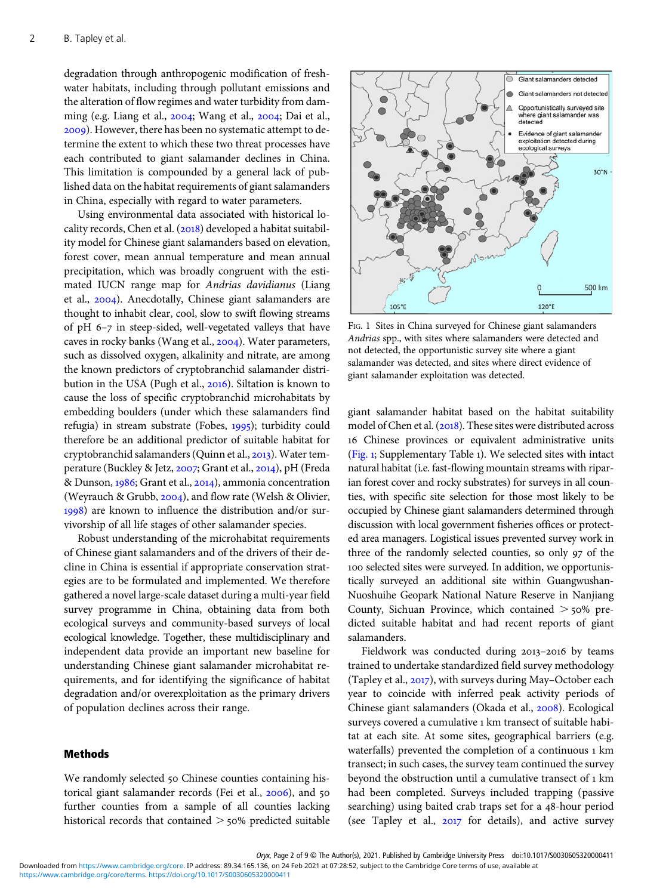degradation through anthropogenic modification of freshwater habitats, including through pollutant emissions and the alteration of flow regimes and water turbidity from damming (e.g. Liang et al.,  $2004$ ; Wang et al.,  $2004$ ; Dai et al., ). However, there has been no systematic attempt to determine the extent to which these two threat processes have each contributed to giant salamander declines in China. This limitation is compounded by a general lack of published data on the habitat requirements of giant salamanders in China, especially with regard to water parameters.

Using environmental data associated with historical locality records, Chen et al.  $(2018)$  developed a habitat suitability model for Chinese giant salamanders based on elevation, forest cover, mean annual temperature and mean annual precipitation, which was broadly congruent with the estimated IUCN range map for Andrias davidianus (Liang et al., 2004). Anecdotally, Chinese giant salamanders are thought to inhabit clear, cool, slow to swift flowing streams of pH  $6-7$  in steep-sided, well-vegetated valleys that have caves in rocky banks (Wang et al., 2004). Water parameters, such as dissolved oxygen, alkalinity and nitrate, are among the known predictors of cryptobranchid salamander distribution in the USA (Pugh et al., 2016). Siltation is known to cause the loss of specific cryptobranchid microhabitats by embedding boulders (under which these salamanders find refugia) in stream substrate (Fobes, 1995); turbidity could therefore be an additional predictor of suitable habitat for cryptobranchid salamanders (Quinn et al., 2013). Water temperature (Buckley & Jetz, 2007; Grant et al., 2014), pH (Freda & Dunson, 1986; Grant et al., 2014), ammonia concentration (Weyrauch & Grubb,  $2004$ ), and flow rate (Welsh & Olivier, ) are known to influence the distribution and/or survivorship of all life stages of other salamander species.

Robust understanding of the microhabitat requirements of Chinese giant salamanders and of the drivers of their decline in China is essential if appropriate conservation strategies are to be formulated and implemented. We therefore gathered a novel large-scale dataset during a multi-year field survey programme in China, obtaining data from both ecological surveys and community-based surveys of local ecological knowledge. Together, these multidisciplinary and independent data provide an important new baseline for understanding Chinese giant salamander microhabitat requirements, and for identifying the significance of habitat degradation and/or overexploitation as the primary drivers of population declines across their range.

## Methods

We randomly selected 50 Chinese counties containing historical giant salamander records (Fei et al., 2006), and 50 further counties from a sample of all counties lacking historical records that contained  $>$  50% predicted suitable



FIG. 1 Sites in China surveyed for Chinese giant salamanders Andrias spp., with sites where salamanders were detected and not detected, the opportunistic survey site where a giant salamander was detected, and sites where direct evidence of giant salamander exploitation was detected.

giant salamander habitat based on the habitat suitability model of Chen et al. (2018). These sites were distributed across Chinese provinces or equivalent administrative units (Fig. ; Supplementary Table ). We selected sites with intact natural habitat (i.e. fast-flowing mountain streams with riparian forest cover and rocky substrates) for surveys in all counties, with specific site selection for those most likely to be occupied by Chinese giant salamanders determined through discussion with local government fisheries offices or protected area managers. Logistical issues prevented survey work in three of the randomly selected counties, so only 97 of the 100 selected sites were surveyed. In addition, we opportunistically surveyed an additional site within Guangwushan-Nuoshuihe Geopark National Nature Reserve in Nanjiang County, Sichuan Province, which contained  $>$  50% predicted suitable habitat and had recent reports of giant salamanders.

Fieldwork was conducted during 2013-2016 by teams trained to undertake standardized field survey methodology (Tapley et al.,  $2017$ ), with surveys during May–October each year to coincide with inferred peak activity periods of Chinese giant salamanders (Okada et al., 2008). Ecological surveys covered a cumulative 1 km transect of suitable habitat at each site. At some sites, geographical barriers (e.g. waterfalls) prevented the completion of a continuous 1 km transect; in such cases, the survey team continued the survey beyond the obstruction until a cumulative transect of 1 km had been completed. Surveys included trapping (passive searching) using baited crab traps set for a 48-hour period (see Tapley et al.,  $2017$  for details), and active survey

Oryx, Page 2 of 9 © The Author(s), 2021. Published by Cambridge University Press doi:10.1017/S0030605320000411

[https://www.cambridge.org/core/terms.](https://www.cambridge.org/core/terms) <https://doi.org/10.1017/S0030605320000411> Downloaded from [https://www.cambridge.org/core.](https://www.cambridge.org/core) IP address: 89.34.165.136, on 24 Feb 2021 at 07:28:52, subject to the Cambridge Core terms of use, available at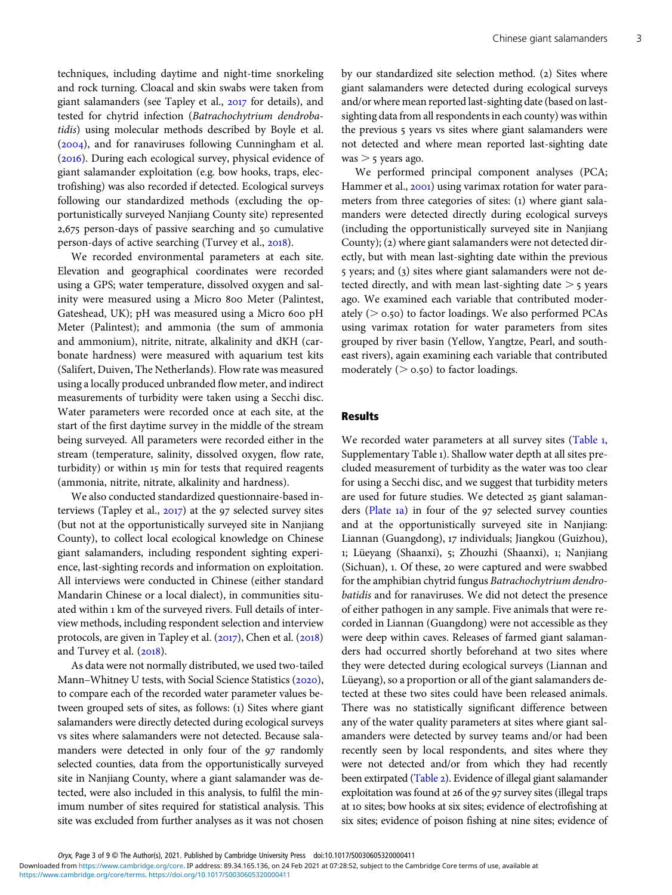techniques, including daytime and night-time snorkeling and rock turning. Cloacal and skin swabs were taken from giant salamanders (see Tapley et al., 2017 for details), and tested for chytrid infection (Batrachochytrium dendrobatidis) using molecular methods described by Boyle et al.  $(2004)$ , and for ranaviruses following Cunningham et al. (2016). During each ecological survey, physical evidence of giant salamander exploitation (e.g. bow hooks, traps, electrofishing) was also recorded if detected. Ecological surveys following our standardized methods (excluding the opportunistically surveyed Nanjiang County site) represented 2,675 person-days of passive searching and 50 cumulative person-days of active searching (Turvey et al., 2018).

We recorded environmental parameters at each site. Elevation and geographical coordinates were recorded using a GPS; water temperature, dissolved oxygen and salinity were measured using a Micro 800 Meter (Palintest, Gateshead, UK); pH was measured using a Micro 600 pH Meter (Palintest); and ammonia (the sum of ammonia and ammonium), nitrite, nitrate, alkalinity and dKH (carbonate hardness) were measured with aquarium test kits (Salifert, Duiven, The Netherlands). Flow rate was measured using a locally produced unbranded flow meter, and indirect measurements of turbidity were taken using a Secchi disc. Water parameters were recorded once at each site, at the start of the first daytime survey in the middle of the stream being surveyed. All parameters were recorded either in the stream (temperature, salinity, dissolved oxygen, flow rate, turbidity) or within 15 min for tests that required reagents (ammonia, nitrite, nitrate, alkalinity and hardness).

We also conducted standardized questionnaire-based interviews (Tapley et al.,  $2017$ ) at the 97 selected survey sites (but not at the opportunistically surveyed site in Nanjiang County), to collect local ecological knowledge on Chinese giant salamanders, including respondent sighting experience, last-sighting records and information on exploitation. All interviews were conducted in Chinese (either standard Mandarin Chinese or a local dialect), in communities situated within 1 km of the surveyed rivers. Full details of interview methods, including respondent selection and interview protocols, are given in Tapley et al.  $(2017)$ , Chen et al.  $(2018)$ and Turvey et al.  $(2018)$ .

As data were not normally distributed, we used two-tailed Mann–Whitney U tests, with Social Science Statistics (2020), to compare each of the recorded water parameter values between grouped sets of sites, as follows: (1) Sites where giant salamanders were directly detected during ecological surveys vs sites where salamanders were not detected. Because salamanders were detected in only four of the 97 randomly selected counties, data from the opportunistically surveyed site in Nanjiang County, where a giant salamander was detected, were also included in this analysis, to fulfil the minimum number of sites required for statistical analysis. This site was excluded from further analyses as it was not chosen by our standardized site selection method. (2) Sites where giant salamanders were detected during ecological surveys and/or where mean reported last-sighting date (based on lastsighting data from all respondents in each county) was within the previous 5 years vs sites where giant salamanders were not detected and where mean reported last-sighting date  $was > 5$  years ago.

We performed principal component analyses (PCA; Hammer et al., 2001) using varimax rotation for water parameters from three categories of sites: (1) where giant salamanders were detected directly during ecological surveys (including the opportunistically surveyed site in Nanjiang County); (2) where giant salamanders were not detected directly, but with mean last-sighting date within the previous 5 years; and (3) sites where giant salamanders were not detected directly, and with mean last-sighting date  $>$  5 years ago. We examined each variable that contributed moderately ( $> 0.50$ ) to factor loadings. We also performed PCAs using varimax rotation for water parameters from sites grouped by river basin (Yellow, Yangtze, Pearl, and southeast rivers), again examining each variable that contributed moderately ( $> 0.50$ ) to factor loadings.

#### Results

We recorded water parameters at all survey sites ([Table](#page-3-0) 1, Supplementary Table ). Shallow water depth at all sites precluded measurement of turbidity as the water was too clear for using a Secchi disc, and we suggest that turbidity meters are used for future studies. We detected 25 giant salaman-ders ([Plate](#page-3-0) 1a) in four of the 97 selected survey counties and at the opportunistically surveyed site in Nanjiang: Liannan (Guangdong), 17 individuals; Jiangkou (Guizhou), 1; Lüeyang (Shaanxi), 5; Zhouzhi (Shaanxi), 1; Nanjiang (Sichuan), 1. Of these, 20 were captured and were swabbed for the amphibian chytrid fungus Batrachochytrium dendrobatidis and for ranaviruses. We did not detect the presence of either pathogen in any sample. Five animals that were recorded in Liannan (Guangdong) were not accessible as they were deep within caves. Releases of farmed giant salamanders had occurred shortly beforehand at two sites where they were detected during ecological surveys (Liannan and Lüeyang), so a proportion or all of the giant salamanders detected at these two sites could have been released animals. There was no statistically significant difference between any of the water quality parameters at sites where giant salamanders were detected by survey teams and/or had been recently seen by local respondents, and sites where they were not detected and/or from which they had recently been extirpated [\(Table](#page-4-0) 2). Evidence of illegal giant salamander exploitation was found at 26 of the 97 survey sites (illegal traps at 10 sites; bow hooks at six sites; evidence of electrofishing at six sites; evidence of poison fishing at nine sites; evidence of

Oryx, Page 3 of 9 © The Author(s), 2021. Published by Cambridge University Press doi:10.1017/S0030605320000411

Downloaded from [https://www.cambridge.org/core.](https://www.cambridge.org/core) IP address: 89.34.165.136, on 24 Feb 2021 at 07:28:52, subject to the Cambridge Core terms of use, available at

[https://www.cambridge.org/core/terms.](https://www.cambridge.org/core/terms) <https://doi.org/10.1017/S0030605320000411>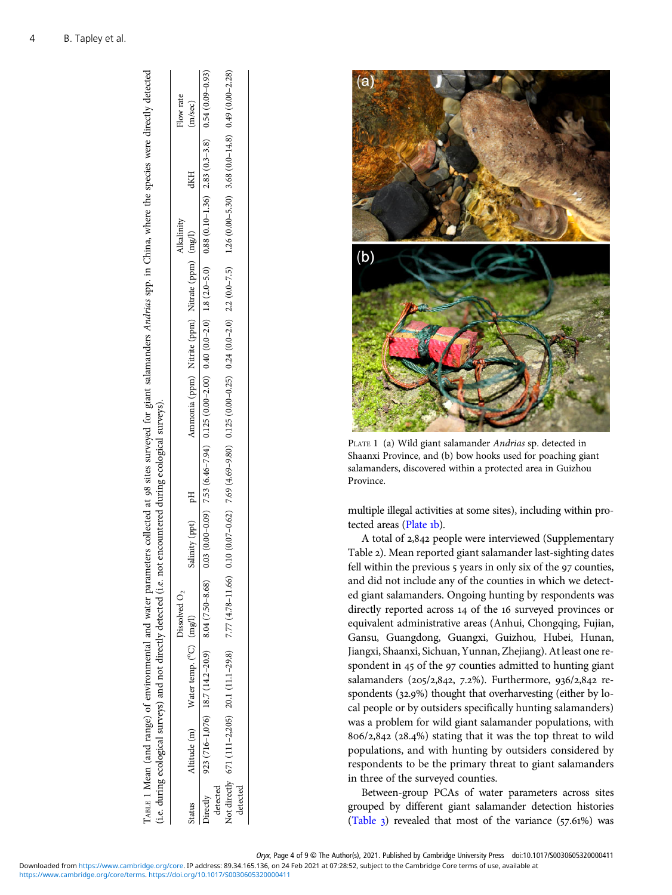|          | (i.e. during ecological surveys) and not directly detected (i.e. |                 | not encountered during ecological surveys). |                                                                                                                                                                 |  |            |            |           |
|----------|------------------------------------------------------------------|-----------------|---------------------------------------------|-----------------------------------------------------------------------------------------------------------------------------------------------------------------|--|------------|------------|-----------|
|          |                                                                  | Dissolved $O_2$ |                                             |                                                                                                                                                                 |  | Alkalinity |            | Flow rate |
| itatus   | Altitude (m) Water temp. (°C) (mg/l)                             |                 | Salinity (ppt) pH                           | Ammonia (ppm) Nitrite (ppm) Nitrate (ppm) (mg/l)                                                                                                                |  |            | <b>dKH</b> | m/sec)    |
|          | Directly 923 (716-1,076) 18.7 (14.2-20.9) 8.04 (7.50-8.68)       |                 |                                             | $0.03(0.00-0.09)$ $7.53(6.46-7.94)$ $0.49(0.00-2.00)$ $0.15(0.00-2.00)$ $0.49(0.00-2.00)$ $0.88(0.10-1.36)$ $2.83(0.3-3.8)$ $0.54(0.09-0.09)$ $0.09(0.09-0.09)$ |  |            |            |           |
| detected |                                                                  |                 |                                             |                                                                                                                                                                 |  |            |            |           |
| detected | Not directly 671 (111-2,205) 20.1 (11.1-29.8) 7.77 (4.78-11.66)  |                 |                                             | $0.10(0.07-0.62)$ 7.69 (4.69-9.80) $0.125(0.00-0.25)$ $0.24(0.0-2.0)$ $2.2(0.0-7.5)$ $1.26(0.00-5.30)$ $3.68(0.0-14.8)$ $0.49(0.00-2.28)$                       |  |            |            |           |
|          |                                                                  |                 |                                             |                                                                                                                                                                 |  |            |            |           |

TABLE 1 Mean (and range) of environmental and water parameters collected at 98 sites surveyed for giant salamanders Andrias spp. in China, where the species were directly detected

ABLE 1 Mean (and range) of environmental and water parameters collected at 98 sites surveyed for giant salamanders Andrias spp. in China, where the species were directly detected



PLATE 1 (a) Wild giant salamander Andrias sp. detected in Shaanxi Province, and (b) bow hooks used for poaching giant salamanders, discovered within a protected area in Guizhou Province.

multiple illegal activities at some sites), including within protected areas (Plate 1b).

A total of 2,842 people were interviewed (Supplementary Table ). Mean reported giant salamander last-sighting dates fell within the previous  $\frac{1}{2}$  years in only six of the  $\frac{1}{2}$  counties, and did not include any of the counties in which we detected giant salamanders. Ongoing hunting by respondents was directly reported across 14 of the 16 surveyed provinces or equivalent administrative areas (Anhui, Chongqing, Fujian, Gansu, Guangdong, Guangxi, Guizhou, Hubei, Hunan, Jiangxi, Shaanxi, Sichuan, Yunnan, Zhejiang). At least one respondent in 45 of the 97 counties admitted to hunting giant salamanders (205/2,842, 7.2%). Furthermore, 936/2,842 respondents  $(32.9%)$  thought that overharvesting (either by local people or by outsiders specifically hunting salamanders) was a problem for wild giant salamander populations, with  $806/2, 842$  (28.4%) stating that it was the top threat to wild populations, and with hunting by outsiders considered by respondents to be the primary threat to giant salamanders in three of the surveyed counties.

Between-group PCAs of water parameters across sites grouped by different giant salamander detection histories ([Table](#page-4-0)  $_3$ ) revealed that most of the variance (57.61%) was

Oryx, Page 4 of 9 © The Author(s), 2021. Published by Cambridge University Press doi:10.1017/S0030605320000411

Downloaded from [https://www.cambridge.org/core.](https://www.cambridge.org/core) IP address: 89.34.165.136, on 24 Feb 2021 at 07:28:52, subject to the Cambridge Core terms of use, available at

<span id="page-3-0"></span>4 B. Tapley et al.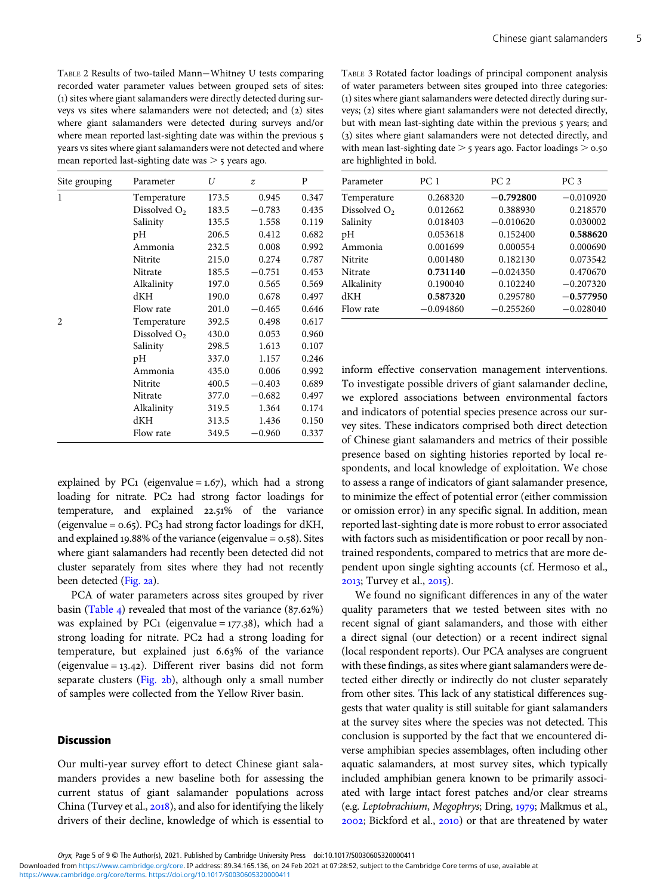<span id="page-4-0"></span>TABLE 2 Results of two-tailed Mann−Whitney U tests comparing recorded water parameter values between grouped sets of sites: () sites where giant salamanders were directly detected during surveys ys sites where salamanders were not detected; and (2) sites where giant salamanders were detected during surveys and/or where mean reported last-sighting date was within the previous 5 years vs sites where giant salamanders were not detected and where mean reported last-sighting date was  $>$  5 years ago.

| Site grouping  | Parameter                | U     | $\boldsymbol{z}$ | P     |
|----------------|--------------------------|-------|------------------|-------|
| $\mathbf{1}$   | Temperature              | 173.5 | 0.945            | 0.347 |
|                | Dissolved O <sub>2</sub> | 183.5 | $-0.783$         | 0.435 |
|                | Salinity                 | 135.5 | 1.558            | 0.119 |
|                | pH                       | 206.5 | 0.412            | 0.682 |
|                | Ammonia                  | 232.5 | 0.008            | 0.992 |
|                | Nitrite                  | 215.0 | 0.274            | 0.787 |
|                | Nitrate                  | 185.5 | $-0.751$         | 0.453 |
|                | Alkalinity               | 197.0 | 0.565            | 0.569 |
|                | dKH                      | 190.0 | 0.678            | 0.497 |
|                | Flow rate                | 201.0 | $-0.465$         | 0.646 |
| $\mathfrak{D}$ | Temperature              | 392.5 | 0.498            | 0.617 |
|                | Dissolved $O2$           | 430.0 | 0.053            | 0.960 |
|                | Salinity                 | 298.5 | 1.613            | 0.107 |
|                | pH                       | 337.0 | 1.157            | 0.246 |
|                | Ammonia                  | 435.0 | 0.006            | 0.992 |
|                | Nitrite                  | 400.5 | $-0.403$         | 0.689 |
|                | Nitrate                  | 377.0 | $-0.682$         | 0.497 |
|                | Alkalinity               | 319.5 | 1.364            | 0.174 |
|                | dKH                      | 313.5 | 1.436            | 0.150 |
|                | Flow rate                | 349.5 | $-0.960$         | 0.337 |

explained by PC1 (eigenvalue =  $1.67$ ), which had a strong loading for nitrate. PC2 had strong factor loadings for temperature, and explained 22.51% of the variance (eigenvalue =  $0.65$ ). PC3 had strong factor loadings for dKH, and explained 19.88% of the variance (eigenvalue =  $0.58$ ). Sites where giant salamanders had recently been detected did not cluster separately from sites where they had not recently been detected [\(Fig.](#page-5-0) 2a).

PCA of water parameters across sites grouped by river basin [\(Table](#page-5-0) 4) revealed that most of the variance  $(87.62\%)$ was explained by PC1 (eigenvalue =  $177.38$ ), which had a strong loading for nitrate. PC2 had a strong loading for temperature, but explained just  $6.63\%$  of the variance (eigenvalue =  $13.42$ ). Different river basins did not form separate clusters [\(Fig.](#page-5-0) 2b), although only a small number of samples were collected from the Yellow River basin.

#### **Discussion**

Our multi-year survey effort to detect Chinese giant salamanders provides a new baseline both for assessing the current status of giant salamander populations across China (Turvey et al., 2018), and also for identifying the likely drivers of their decline, knowledge of which is essential to

TABLE 3 Rotated factor loadings of principal component analysis of water parameters between sites grouped into three categories: () sites where giant salamanders were detected directly during surveys; (2) sites where giant salamanders were not detected directly, but with mean last-sighting date within the previous 5 years; and (3) sites where giant salamanders were not detected directly, and with mean last-sighting date  $>$  5 years ago. Factor loadings  $>$  0.50 are highlighted in bold.

| Parameter      | PC <sub>1</sub> | PC <sub>2</sub> | PC <sub>3</sub> |
|----------------|-----------------|-----------------|-----------------|
| Temperature    | 0.268320        | $-0.792800$     | $-0.010920$     |
| Dissolved $O2$ | 0.012662        | 0.388930        | 0.218570        |
| Salinity       | 0.018403        | $-0.010620$     | 0.030002        |
| pH             | 0.053618        | 0.152400        | 0.588620        |
| Ammonia        | 0.001699        | 0.000554        | 0.000690        |
| Nitrite        | 0.001480        | 0.182130        | 0.073542        |
| <b>Nitrate</b> | 0.731140        | $-0.024350$     | 0.470670        |
| Alkalinity     | 0.190040        | 0.102240        | $-0.207320$     |
| dKH            | 0.587320        | 0.295780        | $-0.577950$     |
| Flow rate      | $-0.094860$     | $-0.255260$     | $-0.028040$     |

inform effective conservation management interventions. To investigate possible drivers of giant salamander decline, we explored associations between environmental factors and indicators of potential species presence across our survey sites. These indicators comprised both direct detection of Chinese giant salamanders and metrics of their possible presence based on sighting histories reported by local respondents, and local knowledge of exploitation. We chose to assess a range of indicators of giant salamander presence, to minimize the effect of potential error (either commission or omission error) in any specific signal. In addition, mean reported last-sighting date is more robust to error associated with factors such as misidentification or poor recall by nontrained respondents, compared to metrics that are more dependent upon single sighting accounts (cf. Hermoso et al., 2013; Turvey et al., 2015).

We found no significant differences in any of the water quality parameters that we tested between sites with no recent signal of giant salamanders, and those with either a direct signal (our detection) or a recent indirect signal (local respondent reports). Our PCA analyses are congruent with these findings, as sites where giant salamanders were detected either directly or indirectly do not cluster separately from other sites. This lack of any statistical differences suggests that water quality is still suitable for giant salamanders at the survey sites where the species was not detected. This conclusion is supported by the fact that we encountered diverse amphibian species assemblages, often including other aquatic salamanders, at most survey sites, which typically included amphibian genera known to be primarily associated with large intact forest patches and/or clear streams (e.g. Leptobrachium, Megophrys; Dring, 1979; Malkmus et al.,  $2002$ ; Bickford et al.,  $2010$ ) or that are threatened by water

Oryx, Page 5 of 9 © The Author(s), 2021. Published by Cambridge University Press doi:10.1017/S0030605320000411

Downloaded from [https://www.cambridge.org/core.](https://www.cambridge.org/core) IP address: 89.34.165.136, on 24 Feb 2021 at 07:28:52, subject to the Cambridge Core terms of use, available at

[https://www.cambridge.org/core/terms.](https://www.cambridge.org/core/terms) <https://doi.org/10.1017/S0030605320000411>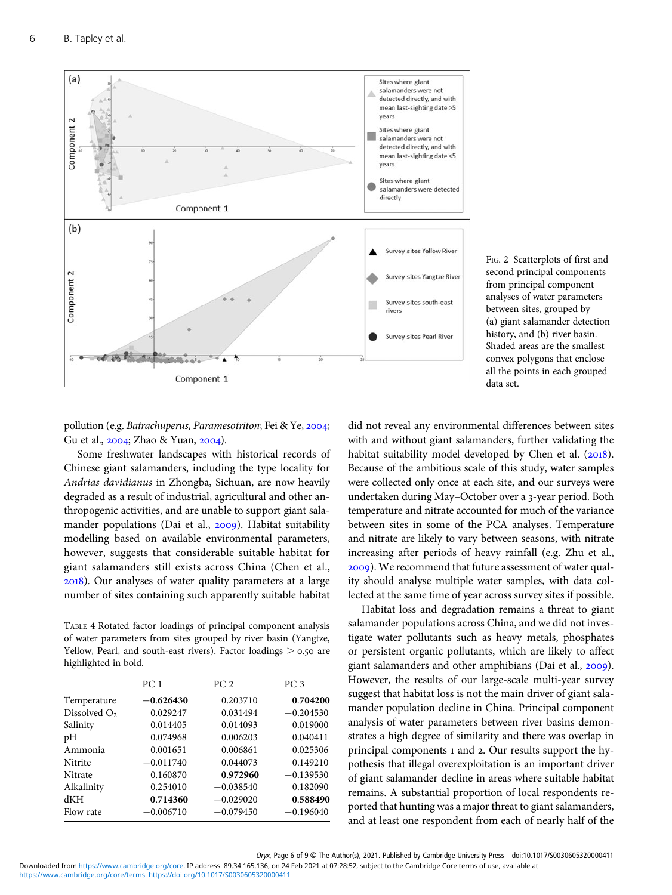<span id="page-5-0"></span>

FIG. 2 Scatterplots of first and second principal components from principal component analyses of water parameters between sites, grouped by (a) giant salamander detection history, and (b) river basin. Shaded areas are the smallest convex polygons that enclose all the points in each grouped data set.

pollution (e.g. Batrachuperus, Paramesotriton; Fei & Ye, 2004; Gu et al., 2004; Zhao & Yuan, 2004).

Some freshwater landscapes with historical records of Chinese giant salamanders, including the type locality for Andrias davidianus in Zhongba, Sichuan, are now heavily degraded as a result of industrial, agricultural and other anthropogenic activities, and are unable to support giant salamander populations (Dai et al., 2009). Habitat suitability modelling based on available environmental parameters, however, suggests that considerable suitable habitat for giant salamanders still exists across China (Chen et al., ). Our analyses of water quality parameters at a large number of sites containing such apparently suitable habitat

TABLE 4 Rotated factor loadings of principal component analysis of water parameters from sites grouped by river basin (Yangtze, Yellow, Pearl, and south-east rivers). Factor loadings  $> 0.50$  are highlighted in bold.

|                | PC <sub>1</sub> | PC <sub>2</sub> | PC <sub>3</sub> |
|----------------|-----------------|-----------------|-----------------|
| Temperature    | $-0.626430$     | 0.203710        | 0.704200        |
| Dissolved $O2$ | 0.029247        | 0.031494        | $-0.204530$     |
| Salinity       | 0.014405        | 0.014093        | 0.019000        |
| pH             | 0.074968        | 0.006203        | 0.040411        |
| Ammonia        | 0.001651        | 0.006861        | 0.025306        |
| Nitrite        | $-0.011740$     | 0.044073        | 0.149210        |
| Nitrate        | 0.160870        | 0.972960        | $-0.139530$     |
| Alkalinity     | 0.254010        | $-0.038540$     | 0.182090        |
| dKH            | 0.714360        | $-0.029020$     | 0.588490        |
| Flow rate      | $-0.006710$     | $-0.079450$     | $-0.196040$     |

did not reveal any environmental differences between sites with and without giant salamanders, further validating the habitat suitability model developed by Chen et al.  $(2018)$ . Because of the ambitious scale of this study, water samples were collected only once at each site, and our surveys were undertaken during May–October over a 3-year period. Both temperature and nitrate accounted for much of the variance between sites in some of the PCA analyses. Temperature and nitrate are likely to vary between seasons, with nitrate increasing after periods of heavy rainfall (e.g. Zhu et al., ). We recommend that future assessment of water quality should analyse multiple water samples, with data collected at the same time of year across survey sites if possible.

Habitat loss and degradation remains a threat to giant salamander populations across China, and we did not investigate water pollutants such as heavy metals, phosphates or persistent organic pollutants, which are likely to affect giant salamanders and other amphibians (Dai et al., 2009). However, the results of our large-scale multi-year survey suggest that habitat loss is not the main driver of giant salamander population decline in China. Principal component analysis of water parameters between river basins demonstrates a high degree of similarity and there was overlap in principal components 1 and 2. Our results support the hypothesis that illegal overexploitation is an important driver of giant salamander decline in areas where suitable habitat remains. A substantial proportion of local respondents reported that hunting was a major threat to giant salamanders, and at least one respondent from each of nearly half of the

Oryx, Page 6 of 9 © The Author(s), 2021. Published by Cambridge University Press doi:10.1017/S0030605320000411

Downloaded from [https://www.cambridge.org/core.](https://www.cambridge.org/core) IP address: 89.34.165.136, on 24 Feb 2021 at 07:28:52, subject to the Cambridge Core terms of use, available at

[https://www.cambridge.org/core/terms.](https://www.cambridge.org/core/terms) <https://doi.org/10.1017/S0030605320000411>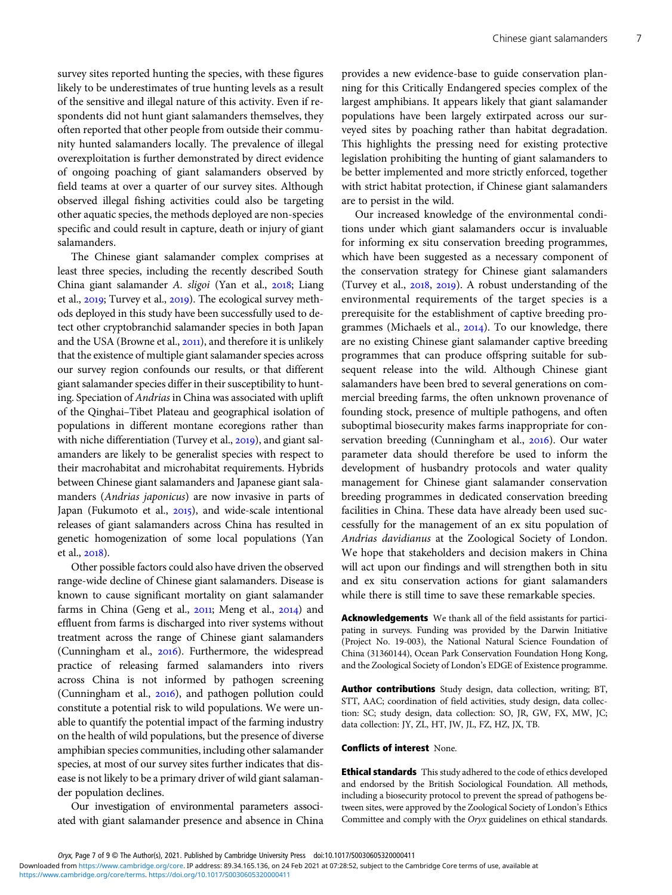survey sites reported hunting the species, with these figures likely to be underestimates of true hunting levels as a result of the sensitive and illegal nature of this activity. Even if respondents did not hunt giant salamanders themselves, they often reported that other people from outside their community hunted salamanders locally. The prevalence of illegal overexploitation is further demonstrated by direct evidence of ongoing poaching of giant salamanders observed by field teams at over a quarter of our survey sites. Although observed illegal fishing activities could also be targeting other aquatic species, the methods deployed are non-species specific and could result in capture, death or injury of giant salamanders.

The Chinese giant salamander complex comprises at least three species, including the recently described South China giant salamander A. sligoi (Yan et al., 2018; Liang et al., 2019; Turvey et al., 2019). The ecological survey methods deployed in this study have been successfully used to detect other cryptobranchid salamander species in both Japan and the USA (Browne et al., 2011), and therefore it is unlikely that the existence of multiple giant salamander species across our survey region confounds our results, or that different giant salamander species differ in their susceptibility to hunting. Speciation of Andrias in China was associated with uplift of the Qinghai–Tibet Plateau and geographical isolation of populations in different montane ecoregions rather than with niche differentiation (Turvey et al., 2019), and giant salamanders are likely to be generalist species with respect to their macrohabitat and microhabitat requirements. Hybrids between Chinese giant salamanders and Japanese giant salamanders (Andrias japonicus) are now invasive in parts of Japan (Fukumoto et al., 2015), and wide-scale intentional releases of giant salamanders across China has resulted in genetic homogenization of some local populations (Yan et al., 2018).

Other possible factors could also have driven the observed range-wide decline of Chinese giant salamanders. Disease is known to cause significant mortality on giant salamander farms in China (Geng et al., 2011; Meng et al., 2014) and effluent from farms is discharged into river systems without treatment across the range of Chinese giant salamanders (Cunningham et al., 2016). Furthermore, the widespread practice of releasing farmed salamanders into rivers across China is not informed by pathogen screening (Cunningham et al.,  $2016$ ), and pathogen pollution could constitute a potential risk to wild populations. We were unable to quantify the potential impact of the farming industry on the health of wild populations, but the presence of diverse amphibian species communities, including other salamander species, at most of our survey sites further indicates that disease is not likely to be a primary driver of wild giant salamander population declines.

Our investigation of environmental parameters associated with giant salamander presence and absence in China provides a new evidence-base to guide conservation planning for this Critically Endangered species complex of the largest amphibians. It appears likely that giant salamander populations have been largely extirpated across our surveyed sites by poaching rather than habitat degradation. This highlights the pressing need for existing protective legislation prohibiting the hunting of giant salamanders to be better implemented and more strictly enforced, together with strict habitat protection, if Chinese giant salamanders are to persist in the wild.

Our increased knowledge of the environmental conditions under which giant salamanders occur is invaluable for informing ex situ conservation breeding programmes, which have been suggested as a necessary component of the conservation strategy for Chinese giant salamanders (Turvey et al.,  $2018$ ,  $2019$ ). A robust understanding of the environmental requirements of the target species is a prerequisite for the establishment of captive breeding programmes (Michaels et al.,  $2014$ ). To our knowledge, there are no existing Chinese giant salamander captive breeding programmes that can produce offspring suitable for subsequent release into the wild. Although Chinese giant salamanders have been bred to several generations on commercial breeding farms, the often unknown provenance of founding stock, presence of multiple pathogens, and often suboptimal biosecurity makes farms inappropriate for conservation breeding (Cunningham et al., 2016). Our water parameter data should therefore be used to inform the development of husbandry protocols and water quality management for Chinese giant salamander conservation breeding programmes in dedicated conservation breeding facilities in China. These data have already been used successfully for the management of an ex situ population of Andrias davidianus at the Zoological Society of London. We hope that stakeholders and decision makers in China will act upon our findings and will strengthen both in situ and ex situ conservation actions for giant salamanders while there is still time to save these remarkable species.

Acknowledgements We thank all of the field assistants for participating in surveys. Funding was provided by the Darwin Initiative (Project No. 19-003), the National Natural Science Foundation of China (31360144), Ocean Park Conservation Foundation Hong Kong, and the Zoological Society of London's EDGE of Existence programme.

Author contributions Study design, data collection, writing; BT, STT, AAC; coordination of field activities, study design, data collection: SC; study design, data collection: SO, JR, GW, FX, MW, JC; data collection: JY, ZL, HT, JW, JL, FZ, HZ, JX, TB.

#### Conflicts of interest None.

Ethical standards This study adhered to the code of ethics developed and endorsed by the British Sociological Foundation. All methods, including a biosecurity protocol to prevent the spread of pathogens between sites, were approved by the Zoological Society of London's Ethics Committee and comply with the Oryx guidelines on ethical standards.

Oryx, Page 7 of 9 © The Author(s), 2021. Published by Cambridge University Press doi:10.1017/S0030605320000411 [https://www.cambridge.org/core/terms.](https://www.cambridge.org/core/terms) <https://doi.org/10.1017/S0030605320000411> Downloaded from [https://www.cambridge.org/core.](https://www.cambridge.org/core) IP address: 89.34.165.136, on 24 Feb 2021 at 07:28:52, subject to the Cambridge Core terms of use, available at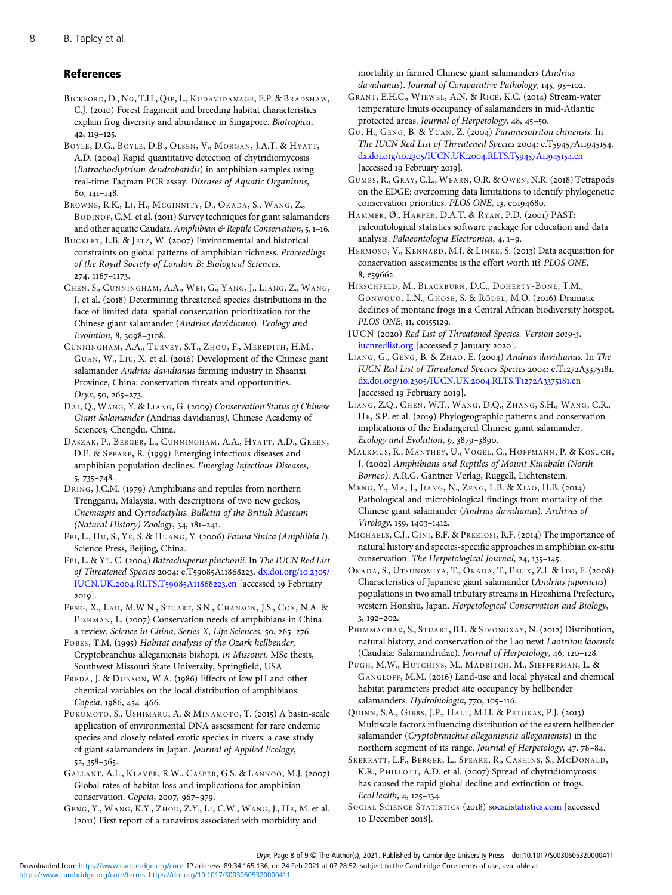# <span id="page-7-0"></span>References

BICKFORD, D., NG, T.H., QIE, L., KUDAVIDANAGE, E.P. & BRADSHAW, C.J. (2010) Forest fragment and breeding habitat characteristics explain frog diversity and abundance in Singapore. Biotropica,  $42, 119 - 125.$ 

BOYLE, D.G., BOYLE, D.B., OLSEN, V., MORGAN, J.A.T. & HYATT, A.D. (2004) Rapid quantitative detection of chytridiomycosis (Batrachochytrium dendrobatidis) in amphibian samples using real-time Taqman PCR assay. Diseases of Aquatic Organisms,  $60, 141 - 148.$ 

BROWNE, R.K., LI, H., MCGINNITY, D., OKADA, S., WANG, Z., BODINOF, C.M. et al. (2011) Survey techniques for giant salamanders and other aquatic Caudata. Amphibian  $\mathfrak{G}$  Reptile Conservation, 5, 1-16.

BUCKLEY, L.B. & JETZ, W. (2007) Environmental and historical constraints on global patterns of amphibian richness. Proceedings of the Royal Society of London B: Biological Sciences, 274, 1167-1173.

CHEN, S., CUNNINGHAM, A.A., WEI, G., YANG, J., LIANG, Z., WANG, J. et al. (2018) Determining threatened species distributions in the face of limited data: spatial conservation prioritization for the Chinese giant salamander (Andrias davidianus). Ecology and Evolution, 8, 3098-3108.

CUNNINGHAM, A.A., TURVEY, S.T., ZHOU, F., MEREDITH, H.M., GUAN, W., LIU, X. et al. (2016) Development of the Chinese giant salamander Andrias davidianus farming industry in Shaanxi Province, China: conservation threats and opportunities.  $Orrx$ , 50, 265-273.

DAI, Q., WANG, Y. & LIANG, G. (2009) Conservation Status of Chinese Giant Salamander (Andrias davidianus). Chinese Academy of Sciences, Chengdu, China.

DASZAK, P., BERGER, L., CUNNINGHAM, A.A., HYATT, A.D., GREEN, D.E. & SPEARE, R. (1999) Emerging infectious diseases and amphibian population declines. Emerging Infectious Diseases,  $5,735-748.$ 

DRING, J.C.M. (1979) Amphibians and reptiles from northern Trengganu, Malaysia, with descriptions of two new geckos, Cnemaspis and Cyrtodactylus. Bulletin of the British Museum (Natural History) Zoology,  $34, 181-241$ .

FEI, L., HU, S., YE, S. & HUANG, Y. (2006) Fauna Sinica (Amphibia I). Science Press, Beijing, China.

FEI, L. & YE, C. (2004) Batrachuperus pinchonii. In The IUCN Red List of Threatened Species 2004: e.T59085A11868223. [dx.doi.org/](dx.doi.org/10.2305/IUCN.UK.2004.RLTS.T59085A11868223.en)10.2305/ [IUCN.UK.](dx.doi.org/10.2305/IUCN.UK.2004.RLTS.T59085A11868223.en)2004.RLTS.T59085A11868223.en [accessed 19 February  $2019$ 

FENG, X., LAU, M.W.N., STUART, S.N., CHANSON, J.S., COX, N.A. & FISHMAN, L. (2007) Conservation needs of amphibians in China: a review. Science in China, Series X, Life Sciences, 50, 265-276.

FOBES, T.M. (1995) Habitat analysis of the Ozark hellbender, Cryptobranchus alleganiensis bishopi, in Missouri. MSc thesis, Southwest Missouri State University, Springfield, USA.

FREDA, J. & DUNSON, W.A. (1986) Effects of low pH and other chemical variables on the local distribution of amphibians. Copeia, 1986, 454-466.

FUKUMOTO, S., USHIMARU, A. & MINAMOTO, T. (2015) A basin-scale application of environmental DNA assessment for rare endemic species and closely related exotic species in rivers: a case study of giant salamanders in Japan. Journal of Applied Ecology, 52, 358-365.

GALLANT, A.L., KLAVER, R.W., CASPER, G.S. & LANNOO, M.J. (2007) Global rates of habitat loss and implications for amphibian conservation. Copeia, 2007, 967-979.

GENG, Y., WANG, K.Y., ZHOU, Z.Y., LI, C.W., WANG, J., HE, M. et al. (2011) First report of a ranavirus associated with morbidity and

mortality in farmed Chinese giant salamanders (Andrias davidianus). Journal of Comparative Pathology, 145, 95-102.

GRANT, E.H.C., WIEWEL, A.N. & RICE, K.C. (2014) Stream-water temperature limits occupancy of salamanders in mid-Atlantic protected areas. Journal of Herpetology, 48, 45-50.

GU, H., GENG, B. & YUAN, Z. (2004) Paramesotriton chinensis. In The IUCN Red List of Threatened Species 2004: e.T59457A11945154. dx.doi.org/10.2305[/IUCN.UK.](http://dx.doi.org/10.2305/IUCN.UK.2004.RLTS.T59457A11945154.en)2004.RLTS.T59457A11945154.en [accessed 19 February 2019].

GUMBS, R., GRAY, C.L., WEARN, O.R. & OWEN, N.R. (2018) Tetrapods on the EDGE: overcoming data limitations to identify phylogenetic conservation priorities. PLOS ONE, 13, e0194680.

HAMMER, Ø., HARPER, D.A.T. & RYAN, P.D. (2001) PAST: paleontological statistics software package for education and data analysis. Palaeontologia Electronica, 4, 1-9.

HERMOSO, V., KENNARD, M.J. & LINKE, S. (2013) Data acquisition for conservation assessments: is the effort worth it? PLOS ONE, 8, e59662.

HIRSCHFELD, M., BLACKBURN, D.C., DOHERTY-BONE, T.M., GONWOUO, L.N., GHOSE, S. & RÖDEL, M.O. (2016) Dramatic declines of montane frogs in a Central African biodiversity hotspot. PLOS ONE, 11, e0155129.

IUCN (2020) Red List of Threatened Species. Version 2019-3. [iucnredlist.org](http://www.iucnredlist.org) [accessed 7 January 2020].

LIANG, G., GENG, B. & ZHAO, E. (2004) Andrias davidianus. In The IUCN Red List of Threatened Species Species 2004: e.T1272A3375181. dx.doi.org/10.2305[/IUCN.UK.](dx.doi.org/10.2305/IUCN.UK.2004.RLTS.T1272A3375181.en)2004.RLTS.T1272A3375181.en [accessed 19 February 2019].

LIANG, Z.Q., CHEN, W.T., WANG, D.Q., ZHANG, S.H., WANG, C.R., HE, S.P. et al. (2019) Phylogeographic patterns and conservation implications of the Endangered Chinese giant salamander. Ecology and Evolution, 9, 3879-3890.

MALKMUS, R., MANTHEY, U., VOGEL, G., HOFFMANN, P. & KOSUCH, J. (2002) Amphibians and Reptiles of Mount Kinabalu (North Borneo). A.R.G. Gantner Verlag, Ruggell, Lichtenstein.

MENG, Y., MA, J., JIANG, N., ZENG, L.B. & XIAO, H.B. (2014) Pathological and microbiological findings from mortality of the Chinese giant salamander (Andrias davidianus). Archives of Virology, 159, 1403-1412.

MICHAELS, C.J., GINI, B.F. & PREZIOSI, R.F. (2014) The importance of natural history and species-specific approaches in amphibian ex-situ conservation. The Herpetological Journal, 24, 135-145.

OKADA, S., UTSUNOMIYA, T., OKADA, T., FELIX, Z.I. & ITO, F. (2008) Characteristics of Japanese giant salamander (Andrias japonicus) populations in two small tributary streams in Hiroshima Prefecture, western Honshu, Japan. Herpetological Conservation and Biology,  $3, 192 - 202.$ 

PHIMMACHAK, S., STUART, B.L. & SIVONGXAY, N. (2012) Distribution, natural history, and conservation of the Lao newt Laotriton laoensis (Caudata: Salamandridae). Journal of Herpetology, 46, 120-128.

PUGH, M.W., HUTCHINS, M., MADRITCH, M., SIEFFERMAN, L. & GANGLOFF, M.M. (2016) Land-use and local physical and chemical habitat parameters predict site occupancy by hellbender salamanders. Hydrobiologia, 770, 105-116.

QUINN, S.A., GIBBS, J.P., HALL, M.H. & PETOKAS, P.J. (2013) Multiscale factors influencing distribution of the eastern hellbender salamander (Cryptobranchus alleganiensis alleganiensis) in the northern segment of its range. Journal of Herpetology, 47, 78-84.

SKERRATT, L.F., BERGER, L., SPEARE, R., CASHINS, S., MCDONALD, K.R., PHILLOTT, A.D. et al. (2007) Spread of chytridiomycosis has caused the rapid global decline and extinction of frogs.  $EcoHealth, 4, 125-134.$ 

SOCIAL SCIENCE STATISTICS (2018) [socscistatistics.com](http://www.socscistatistics.com) [accessed 10 December 2018].

Oryx, Page 8 of 9 © The Author(s), 2021. Published by Cambridge University Press doi:10.1017/S0030605320000411 Downloaded from [https://www.cambridge.org/core.](https://www.cambridge.org/core) IP address: 89.34.165.136, on 24 Feb 2021 at 07:28:52, subject to the Cambridge Core terms of use, available at